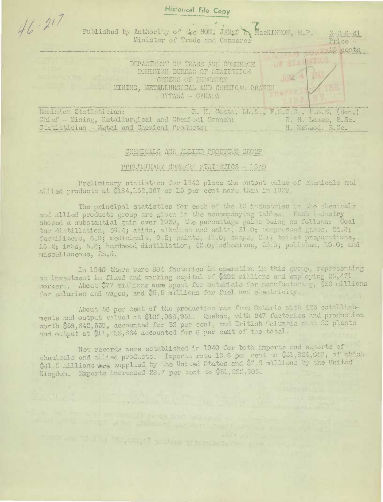**Historical File Copy**  $46 - 217$ Published by Authority of the HON: JAMES T, MacKINNON, M.P. Minister of Trade and Commerce 15 cents DEPARTMENT OF TRADE AND CONTERCE DOMINION BUREAU OF STATISTICS CENSUS OF INDUSTRY MINING, METALLURGICAL AND CHEMICAL BRANCH OTTAWA - CAHADA R. H. Coats, LL.D., F.R.S.C., F.S.S. (Hom.)<br>Loal Branch: W. H. Losee, B.Sc. Dominion Statistician: Chief - Mining, Metallurgical and Chemical Branch: Statistician - Metal and Chemical Products: H. McLeod. B.Sc.

## CHEMICALS AND ALLIED PRODUCTS GROUP

## PRELIMINARY SUMMARY STATISTICS - 1940

Proliminary statistics for 1940 place the output value of chemicals and allied products at \$184,152,367 or 15 per cent more than in 1939.

The principal statistics for each of the 13 industries in the chemicals and allied products group are given in the accompanying tables. Each industry showed a substantial gain over 1939, the percentage gains being as follows: Coal tar distillation, 36 4; acids, alkalies and salts, 51.0; compressed gases, 22.8; fertilizers, 6.9; medicinals, 9.2; paints, 11.0; soaps, 2.1; toilet preparations, 16.2; inks, 5.6; hardwood distillation, 42.0; adhesives, 25 0; polishes, 10 0; and miscellaneous, 25.5.

In 1940 there were 804 factories in operation in this group, representing an investment in fixed and working capital of \$202 millions and employing 25,471 workers. About \$77 millions were spent for materials for manufacturing, \$36 millions for salaries and wages, and \$5.5 millions for fuel and electricity.

About 56 per cent of the production was from Ontario with 423 establishments and output valued at \$102,963,951. Quebec, with 247 factories and production worth \$58,642,339, accounted for 32 per cent, and British Columbia with 50 plants and output at \$11, 225, 864 accounted for 6 per cent of the total.

New records were established in 1940 for both imports and exports of chemicals and allied products. Imports rose 18.6 per cent to \$51,824,059, of which \$41 5 millions were supplied by the United States and \$7.5 millions by the United Kingdom. Exports increased 28.7 per cent to \$31,222,806.

that is introduced on this or intrase to the same.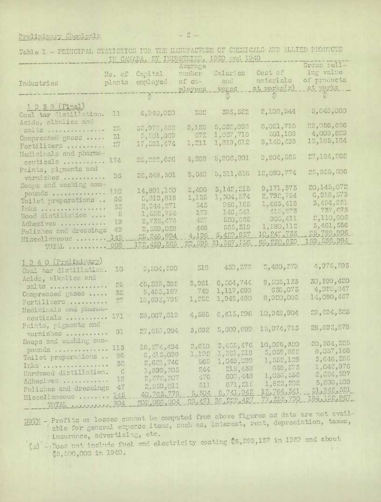Preliminary Chemicals

|                        |            | IN CANADA, BY INDUSTRING, 1969 and 1940 |              |               |               |               |
|------------------------|------------|-----------------------------------------|--------------|---------------|---------------|---------------|
|                        |            |                                         | Average      |               |               | Gross sell-   |
|                        | No. of     | Capital                                 | nunber       | Salarics      | Cost of       | ing value     |
| Industries             | plants     | employed                                | of $e^{n}$ - | and           | materials     | of products   |
|                        |            |                                         | ployees      | wages         | at works(x)   | at works      |
|                        |            |                                         |              | <u> 대표 대표</u> | <u>이 없이 없</u> |               |
|                        |            |                                         |              |               |               |               |
| 1. 9 3 9 (Final)       |            |                                         |              |               |               | 5,643,080     |
| Coal tar distillation. | 11         | 4,040,020                               | 302          | 303,522       | 2,103,544     |               |
| Acids, alkalies and    |            |                                         |              |               |               | 23,056,006    |
| salts                  | 25         | 50,078,482                              | 5,123        | 5,030,890     | 6,021,716     |               |
| Compressed gases       | 31         | 5,501,069                               | C77          | 1,037,718     | 501,108       | 4,000,829     |
| Fortilizers            | 27         | 17,561,474                              | 1,211        | 1,819,612     | 8,140,433     | 13,165,164    |
|                        |            |                                         |              |               |               |               |
| Medicinals and pharma- | 174        | 25,282,626                              | 4,338        | 5,206,891     | 9,804,525     | 27,184,162    |
| ceuticals              |            |                                         |              |               |               |               |
| Paints, pigments and   |            |                                         | 3,540        | 5,311,616     | 12,080,774    | 25,855,506    |
| varnishes              | 93         | 26, 348, 301                            |              |               |               |               |
| Soaps and washing com- |            |                                         |              |               | 9,171.,373    | 20,145,072    |
| pounds                 | 110        | 14,891,150                              | 2,406        | 3,142,213     |               | 6,918,573     |
| Toilet preparations    | 86         | 5,919,818                               | 1,135        | 1,304,574     | 2,792,754     |               |
| Inks                   | 33         | 2,944,271                               | 543          | 956,165       | 1,465,418     | 3,454,251     |
| Wood distillation      | - 5        | 1,552,756                               | 173          | 146,541       | 415,973       | 737,673       |
| Adhesives              | 19         | 2,735,476                               | 427          | 520,062       | 905,411       | 2,110,806     |
|                        | 49         | 2,559,028                               | 468          | 565,319       | 1,580,112     | 5,461,556     |
| Polishes and dressings |            | 25, 246, 894                            | 4,196        | 5,429,827     | 10,242,733    | 25,788,906    |
| Miscellaneous  145     |            | 172,459,365                             | 22,535       | 31, 567, 558  | 65,230,839    | 159, 536, 984 |
| TOTAL  808             |            |                                         |              |               |               |               |
|                        |            |                                         |              |               |               |               |
| 1940 (Preliminary)     |            |                                         |              |               |               | 4,975,593     |
| Coal tar distillation. | 10         | 5,304,390                               | 319          | 450,373       | 2,480,379     |               |
| Acids, alkalics and    |            |                                         |              |               |               |               |
| salts                  | 25         | 45, 335, 382                            | 3,961        | 6,564,744     | 8,503,133     | 30, 199, 420  |
| Compressed gases       | 32         | 5,455,187                               | 749          | 1,117,699     | 636,075       | 4,920,847     |
| Fortilizers            | 27         | 18,693,795                              | 1,252        | 1,948,480     | 8,020,003     | 14,080,467    |
|                        |            |                                         |              |               |               |               |
| Medicinals and pharma- |            | 23,067,619                              | 4,580        | 0,415,296     | 10,948,904    | 29,094,323    |
| centicals              | 171        |                                         |              |               |               |               |
| Paints, pigments and   |            |                                         |              | 5,609,899     | 13,974,713    | 28,693,878    |
| varnishes              | -91        | 27,650,994                              | 3,692        |               |               |               |
| Soaps and washing com- |            |                                         |              |               |               | 20,564,325    |
| pounds                 | 113        | 16,274,494                              | 2,610        | 3,455,476     | 10,029,320    | 8,037,166     |
| Toilet preparations    | 86         | 6,413,098                               | 1,192        | 1,361,318     | 3,038,662     |               |
| Inks                   | 32         | 2,621,746                               | 565          | 1,049,099     | 1,552,128     | 3,646,355     |
| Hardwood distillation. | $\epsilon$ | 1,899,305                               | 244          | 218,438       | 648,573       | 1,040,976     |
|                        | 12         | 2,072,207                               | 476          | 600,448       | 1,030,356     | 2,634,597     |
| Adhesives              |            | 2,859,011                               | 511          | 671, 215      | 1,822,202     | 3,806,599     |
| Polishes and dressings | 47         |                                         | 5,304        | 6,741,942     | 13.764,341    | 31, 346, 321  |
| Miscellaneous          | 145        | 40,763,778                              |              | 36,222,427    | 77,353,790    | 184, 152, 867 |
| TOTAL  304             |            | 202,066,004                             | 25,471       |               |               |               |

Table 1 - PRINCIPAL STATISTICS FOR THE MANUFACTURE OF CHEMICALS AND ALLIED PRODUCTS

MOTE - Profits or losses cannot be computed from above figures as data are not available for general expense items, such as, interest, rent, depreciation, taxes, insurance, advertising, etc.

 $(x)$  - Does not include fuel and electricity costing \$5,259,137 in 1939 and about \$5,500,000 in 1940.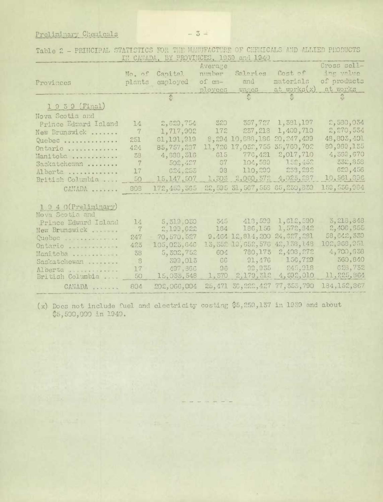Preliminary Chemicals

| Cross sell-<br>Average<br>ing velue<br>Cost of<br>Saleries<br>No. of Capital<br>number<br>of products<br>materials<br>and<br>of cm-<br>plants<br>employed<br>Provinces<br>at works<br>at works(x)<br>ployees<br>wages<br>$\frac{1}{\sqrt{2}}$<br>$\frac{\partial h}{\partial x^2}$<br>$\ddot{\circ}$<br>$\begin{array}{ccc}\n\bullet & \bullet & \bullet & \bullet \\ \bullet & \bullet & \bullet & \bullet\n\end{array}$<br>1939 (Final)<br>Nova Scotia and<br>320<br>2,530,034<br>357,727<br>1,381,197<br>2,629,754<br>Prince Edward Island<br>14<br>237, 218<br>1,409,710<br>172<br>$\overline{7}$<br>1,717,902<br>New Brunswick<br>20, 247, 499<br>48,803,401<br>10,888,186<br>251<br>61, 191, 919<br>8,294<br>Quebec<br>35,760,702<br>17,032,755<br>85,757,237<br>11,726<br>424<br>Ontario,<br>2,017,710<br>615 776,421<br>4,833,516<br>38<br>Manitoba<br>152,452<br>502,427<br>67 104,589<br>$\overline{7}$<br>Saskatchewan<br>233,232<br>98 110,290<br>624,255<br>17<br>Alberta<br>4,023,287<br>1, 303 2, 060, 372<br>50<br>15, 147, 507<br>British Columbia<br>22,595 31,567,558<br>65,230,833<br>172,459,565<br>808<br>CANADA<br>1 9 4 0 (Preliminary)<br>Nova Scotia and<br>1,612,500<br>413,500<br>345<br>5,310,050<br>Prince Edward Island<br>14<br>1,572,842<br>186,156<br>164<br>7<br>2,199,622<br>New Brunswick<br>24,627,281<br>$9.464$ $12,814,200$<br>70,570,527<br>247<br>Quebec<br>102, 968, 351<br>42, 138, 148<br>13,352 19,652,576<br>105,023,640<br>423<br>Ontario<br>2,408,272<br>780, 173<br>604<br>5,302,752<br>38<br>Manitoba<br>156,729<br>91,476<br>C C<br>300,013<br>8 | IN CARADA, DY PROVINCED, 1939 and 1949 |  |  |  |  |  |               |  |  |  |  |
|-------------------------------------------------------------------------------------------------------------------------------------------------------------------------------------------------------------------------------------------------------------------------------------------------------------------------------------------------------------------------------------------------------------------------------------------------------------------------------------------------------------------------------------------------------------------------------------------------------------------------------------------------------------------------------------------------------------------------------------------------------------------------------------------------------------------------------------------------------------------------------------------------------------------------------------------------------------------------------------------------------------------------------------------------------------------------------------------------------------------------------------------------------------------------------------------------------------------------------------------------------------------------------------------------------------------------------------------------------------------------------------------------------------------------------------------------------------------------------------------------------------------------------------------------------------------------------------------------------|----------------------------------------|--|--|--|--|--|---------------|--|--|--|--|
|                                                                                                                                                                                                                                                                                                                                                                                                                                                                                                                                                                                                                                                                                                                                                                                                                                                                                                                                                                                                                                                                                                                                                                                                                                                                                                                                                                                                                                                                                                                                                                                                       |                                        |  |  |  |  |  |               |  |  |  |  |
|                                                                                                                                                                                                                                                                                                                                                                                                                                                                                                                                                                                                                                                                                                                                                                                                                                                                                                                                                                                                                                                                                                                                                                                                                                                                                                                                                                                                                                                                                                                                                                                                       |                                        |  |  |  |  |  |               |  |  |  |  |
|                                                                                                                                                                                                                                                                                                                                                                                                                                                                                                                                                                                                                                                                                                                                                                                                                                                                                                                                                                                                                                                                                                                                                                                                                                                                                                                                                                                                                                                                                                                                                                                                       |                                        |  |  |  |  |  |               |  |  |  |  |
|                                                                                                                                                                                                                                                                                                                                                                                                                                                                                                                                                                                                                                                                                                                                                                                                                                                                                                                                                                                                                                                                                                                                                                                                                                                                                                                                                                                                                                                                                                                                                                                                       |                                        |  |  |  |  |  |               |  |  |  |  |
|                                                                                                                                                                                                                                                                                                                                                                                                                                                                                                                                                                                                                                                                                                                                                                                                                                                                                                                                                                                                                                                                                                                                                                                                                                                                                                                                                                                                                                                                                                                                                                                                       |                                        |  |  |  |  |  |               |  |  |  |  |
|                                                                                                                                                                                                                                                                                                                                                                                                                                                                                                                                                                                                                                                                                                                                                                                                                                                                                                                                                                                                                                                                                                                                                                                                                                                                                                                                                                                                                                                                                                                                                                                                       |                                        |  |  |  |  |  |               |  |  |  |  |
|                                                                                                                                                                                                                                                                                                                                                                                                                                                                                                                                                                                                                                                                                                                                                                                                                                                                                                                                                                                                                                                                                                                                                                                                                                                                                                                                                                                                                                                                                                                                                                                                       |                                        |  |  |  |  |  |               |  |  |  |  |
|                                                                                                                                                                                                                                                                                                                                                                                                                                                                                                                                                                                                                                                                                                                                                                                                                                                                                                                                                                                                                                                                                                                                                                                                                                                                                                                                                                                                                                                                                                                                                                                                       |                                        |  |  |  |  |  |               |  |  |  |  |
|                                                                                                                                                                                                                                                                                                                                                                                                                                                                                                                                                                                                                                                                                                                                                                                                                                                                                                                                                                                                                                                                                                                                                                                                                                                                                                                                                                                                                                                                                                                                                                                                       |                                        |  |  |  |  |  | 2,270,534     |  |  |  |  |
|                                                                                                                                                                                                                                                                                                                                                                                                                                                                                                                                                                                                                                                                                                                                                                                                                                                                                                                                                                                                                                                                                                                                                                                                                                                                                                                                                                                                                                                                                                                                                                                                       |                                        |  |  |  |  |  |               |  |  |  |  |
|                                                                                                                                                                                                                                                                                                                                                                                                                                                                                                                                                                                                                                                                                                                                                                                                                                                                                                                                                                                                                                                                                                                                                                                                                                                                                                                                                                                                                                                                                                                                                                                                       |                                        |  |  |  |  |  | 89,989,135    |  |  |  |  |
|                                                                                                                                                                                                                                                                                                                                                                                                                                                                                                                                                                                                                                                                                                                                                                                                                                                                                                                                                                                                                                                                                                                                                                                                                                                                                                                                                                                                                                                                                                                                                                                                       |                                        |  |  |  |  |  | 4,569,670     |  |  |  |  |
|                                                                                                                                                                                                                                                                                                                                                                                                                                                                                                                                                                                                                                                                                                                                                                                                                                                                                                                                                                                                                                                                                                                                                                                                                                                                                                                                                                                                                                                                                                                                                                                                       |                                        |  |  |  |  |  | 332,858       |  |  |  |  |
|                                                                                                                                                                                                                                                                                                                                                                                                                                                                                                                                                                                                                                                                                                                                                                                                                                                                                                                                                                                                                                                                                                                                                                                                                                                                                                                                                                                                                                                                                                                                                                                                       |                                        |  |  |  |  |  | 629,456       |  |  |  |  |
|                                                                                                                                                                                                                                                                                                                                                                                                                                                                                                                                                                                                                                                                                                                                                                                                                                                                                                                                                                                                                                                                                                                                                                                                                                                                                                                                                                                                                                                                                                                                                                                                       |                                        |  |  |  |  |  | 10,501,336    |  |  |  |  |
|                                                                                                                                                                                                                                                                                                                                                                                                                                                                                                                                                                                                                                                                                                                                                                                                                                                                                                                                                                                                                                                                                                                                                                                                                                                                                                                                                                                                                                                                                                                                                                                                       |                                        |  |  |  |  |  | 150,536,984   |  |  |  |  |
|                                                                                                                                                                                                                                                                                                                                                                                                                                                                                                                                                                                                                                                                                                                                                                                                                                                                                                                                                                                                                                                                                                                                                                                                                                                                                                                                                                                                                                                                                                                                                                                                       |                                        |  |  |  |  |  |               |  |  |  |  |
|                                                                                                                                                                                                                                                                                                                                                                                                                                                                                                                                                                                                                                                                                                                                                                                                                                                                                                                                                                                                                                                                                                                                                                                                                                                                                                                                                                                                                                                                                                                                                                                                       |                                        |  |  |  |  |  |               |  |  |  |  |
|                                                                                                                                                                                                                                                                                                                                                                                                                                                                                                                                                                                                                                                                                                                                                                                                                                                                                                                                                                                                                                                                                                                                                                                                                                                                                                                                                                                                                                                                                                                                                                                                       |                                        |  |  |  |  |  |               |  |  |  |  |
|                                                                                                                                                                                                                                                                                                                                                                                                                                                                                                                                                                                                                                                                                                                                                                                                                                                                                                                                                                                                                                                                                                                                                                                                                                                                                                                                                                                                                                                                                                                                                                                                       |                                        |  |  |  |  |  | 3,213,348     |  |  |  |  |
|                                                                                                                                                                                                                                                                                                                                                                                                                                                                                                                                                                                                                                                                                                                                                                                                                                                                                                                                                                                                                                                                                                                                                                                                                                                                                                                                                                                                                                                                                                                                                                                                       |                                        |  |  |  |  |  | 2,406,655     |  |  |  |  |
|                                                                                                                                                                                                                                                                                                                                                                                                                                                                                                                                                                                                                                                                                                                                                                                                                                                                                                                                                                                                                                                                                                                                                                                                                                                                                                                                                                                                                                                                                                                                                                                                       |                                        |  |  |  |  |  | 58,642,339    |  |  |  |  |
|                                                                                                                                                                                                                                                                                                                                                                                                                                                                                                                                                                                                                                                                                                                                                                                                                                                                                                                                                                                                                                                                                                                                                                                                                                                                                                                                                                                                                                                                                                                                                                                                       |                                        |  |  |  |  |  |               |  |  |  |  |
|                                                                                                                                                                                                                                                                                                                                                                                                                                                                                                                                                                                                                                                                                                                                                                                                                                                                                                                                                                                                                                                                                                                                                                                                                                                                                                                                                                                                                                                                                                                                                                                                       |                                        |  |  |  |  |  | 4,700,638     |  |  |  |  |
|                                                                                                                                                                                                                                                                                                                                                                                                                                                                                                                                                                                                                                                                                                                                                                                                                                                                                                                                                                                                                                                                                                                                                                                                                                                                                                                                                                                                                                                                                                                                                                                                       | Saskatchewan                           |  |  |  |  |  | 360,840       |  |  |  |  |
| 245,918<br>09,935<br>96<br>497,866<br>17<br>Alberta                                                                                                                                                                                                                                                                                                                                                                                                                                                                                                                                                                                                                                                                                                                                                                                                                                                                                                                                                                                                                                                                                                                                                                                                                                                                                                                                                                                                                                                                                                                                                   |                                        |  |  |  |  |  | 628,732       |  |  |  |  |
| 4,592,010<br>15,033,548<br>2,179,312<br>50<br>1,570<br>British Columbia                                                                                                                                                                                                                                                                                                                                                                                                                                                                                                                                                                                                                                                                                                                                                                                                                                                                                                                                                                                                                                                                                                                                                                                                                                                                                                                                                                                                                                                                                                                               |                                        |  |  |  |  |  | 11,225,864    |  |  |  |  |
| 25,471 30,222,427 77,353,790<br>202,066,004<br>804<br>CANADA                                                                                                                                                                                                                                                                                                                                                                                                                                                                                                                                                                                                                                                                                                                                                                                                                                                                                                                                                                                                                                                                                                                                                                                                                                                                                                                                                                                                                                                                                                                                          |                                        |  |  |  |  |  | 134, 152, 867 |  |  |  |  |

Table 2 - PRINCIPAL STATISTICS FOR THE MAHUFACTURE OF CHEMICALS AND ALLIED PRODUCTS

(x) Does not include fuel and electricity costing \$5,259,137 in 1939 and about \$5,500,000 in 1940.